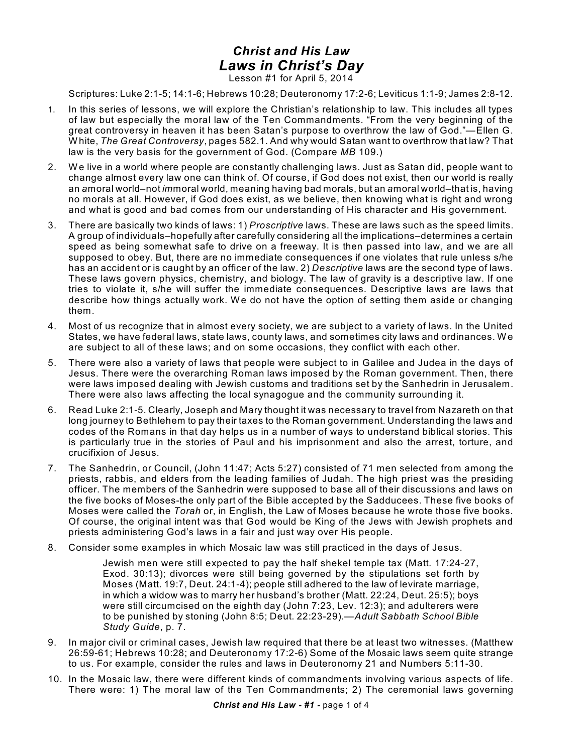## *Christ and His Law Laws in Christ's Day*

Lesson #1 for April 5, 2014

Scriptures: Luke 2:1-5; 14:1-6; Hebrews 10:28; Deuteronomy 17:2-6; Leviticus 1:1-9; James 2:8-12.

- 1. In this series of lessons, we will explore the Christian's relationship to law. This includes all types of law but especially the moral law of the Ten Commandments. "From the very beginning of the great controversy in heaven it has been Satan's purpose to overthrow the law of God."—Ellen G. White, *The Great Controversy*, pages 582.1. And why would Satan want to overthrow that law? That law is the very basis for the government of God. (Compare *MB* 109.)
- 2. We live in a world where people are constantly challenging laws. Just as Satan did, people want to change almost every law one can think of. Of course, if God does not exist, then our world is really an *a*moral world–not *im*moral world, meaning having bad morals, but an *a*moral world–that is, having no morals at all. However, if God does exist, as we believe, then knowing what is right and wrong and what is good and bad comes from our understanding of His character and His government.
- 3. There are basically two kinds of laws: 1) *Proscriptive* laws. These are laws such as the speed limits. A group of individuals–hopefully after carefully considering all the implications–determines a certain speed as being somewhat safe to drive on a freeway. It is then passed into law, and we are all supposed to obey. But, there are no immediate consequences if one violates that rule unless s/he has an accident or is caught by an officer of the law. 2) *Descriptive* laws are the second type of laws. These laws govern physics, chemistry, and biology. The law of gravity is a descriptive law. If one tries to violate it, s/he will suffer the immediate consequences. Descriptive laws are laws that describe how things actually work. We do not have the option of setting them aside or changing them.
- 4. Most of us recognize that in almost every society, we are subject to a variety of laws. In the United States, we have federal laws, state laws, county laws, and sometimes city laws and ordinances. We are subject to all of these laws; and on some occasions, they conflict with each other.
- 5. There were also a variety of laws that people were subject to in Galilee and Judea in the days of Jesus. There were the overarching Roman laws imposed by the Roman government. Then, there were laws imposed dealing with Jewish customs and traditions set by the Sanhedrin in Jerusalem. There were also laws affecting the local synagogue and the community surrounding it.
- 6. Read Luke 2:1-5. Clearly, Joseph and Mary thought it was necessary to travel from Nazareth on that long journey to Bethlehem to pay their taxes to the Roman government. Understanding the laws and codes of the Romans in that day helps us in a number of ways to understand biblical stories. This is particularly true in the stories of Paul and his imprisonment and also the arrest, torture, and crucifixion of Jesus.
- 7. The Sanhedrin, or Council, (John 11:47; Acts 5:27) consisted of 71 men selected from among the priests, rabbis, and elders from the leading families of Judah. The high priest was the presiding officer. The members of the Sanhedrin were supposed to base all of their discussions and laws on the five books of Moses-the only part of the Bible accepted by the Sadducees. These five books of Moses were called the *Torah* or, in English, the Law of Moses because he wrote those five books. Of course, the original intent was that God would be King of the Jews with Jewish prophets and priests administering God's laws in a fair and just way over His people.
- 8. Consider some examples in which Mosaic law was still practiced in the days of Jesus.

Jewish men were still expected to pay the half shekel temple tax (Matt. 17:24-27, Exod. 30:13); divorces were still being governed by the stipulations set forth by Moses (Matt. 19:7, Deut. 24:1-4); people still adhered to the law of levirate marriage, in which a widow was to marry her husband's brother (Matt. 22:24, Deut. 25:5); boys were still circumcised on the eighth day (John 7:23, Lev. 12:3); and adulterers were to be punished by stoning (John 8:5; Deut. 22:23-29).—*Adult Sabbath School Bible Study Guide*, p. 7.

- 9. In major civil or criminal cases, Jewish law required that there be at least two witnesses. (Matthew 26:59-61; Hebrews 10:28; and Deuteronomy 17:2-6) Some of the Mosaic laws seem quite strange to us. For example, consider the rules and laws in Deuteronomy 21 and Numbers 5:11-30.
- 10. In the Mosaic law, there were different kinds of commandments involving various aspects of life. There were: 1) The moral law of the Ten Commandments; 2) The ceremonial laws governing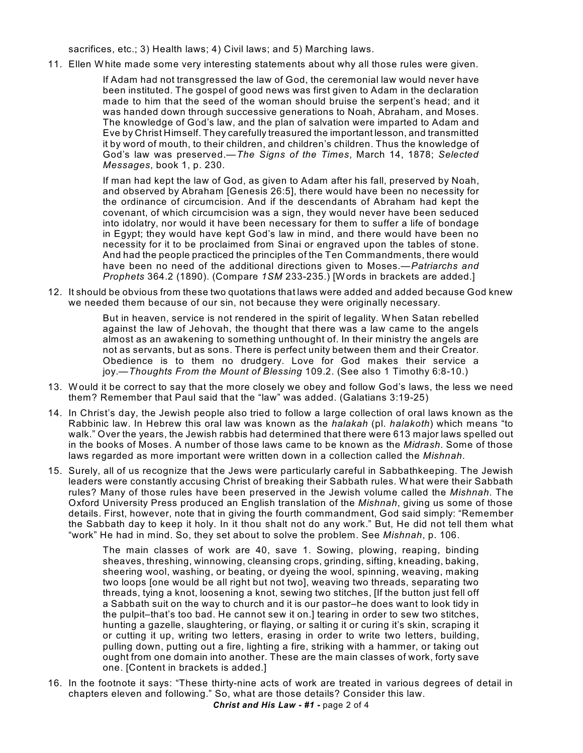sacrifices, etc.; 3) Health laws; 4) Civil laws; and 5) Marching laws.

11. Ellen White made some very interesting statements about why all those rules were given.

If Adam had not transgressed the law of God, the ceremonial law would never have been instituted. The gospel of good news was first given to Adam in the declaration made to him that the seed of the woman should bruise the serpent's head; and it was handed down through successive generations to Noah, Abraham, and Moses. The knowledge of God's law, and the plan of salvation were imparted to Adam and Eve by Christ Himself. They carefully treasured the important lesson, and transmitted it by word of mouth, to their children, and children's children. Thus the knowledge of God's law was preserved.—*The Signs of the Times*, March 14, 1878; *Selected Messages*, book 1, p. 230.

If man had kept the law of God, as given to Adam after his fall, preserved by Noah, and observed by Abraham [Genesis 26:5], there would have been no necessity for the ordinance of circumcision. And if the descendants of Abraham had kept the covenant, of which circumcision was a sign, they would never have been seduced into idolatry, nor would it have been necessary for them to suffer a life of bondage in Egypt; they would have kept God's law in mind, and there would have been no necessity for it to be proclaimed from Sinai or engraved upon the tables of stone. And had the people practiced the principles of the Ten Commandments, there would have been no need of the additional directions given to Moses.—*Patriarchs and Prophets* 364.2 (1890). (Compare *1SM* 233-235.) [Words in brackets are added.]

12. It should be obvious from these two quotations that laws were added and added because God knew we needed them because of our sin, not because they were originally necessary.

> But in heaven, service is not rendered in the spirit of legality. When Satan rebelled against the law of Jehovah, the thought that there was a law came to the angels almost as an awakening to something unthought of. In their ministry the angels are not as servants, but as sons. There is perfect unity between them and their Creator. Obedience is to them no drudgery. Love for God makes their service a joy.—*Thoughts From the Mount of Blessing* 109.2. (See also 1 Timothy 6:8-10.)

- 13. Would it be correct to say that the more closely we obey and follow God's laws, the less we need them? Remember that Paul said that the "law" was added. (Galatians 3:19-25)
- 14. In Christ's day, the Jewish people also tried to follow a large collection of oral laws known as the Rabbinic law. In Hebrew this oral law was known as the *halakah* (pl. *halakoth*) which means "to walk." Over the years, the Jewish rabbis had determined that there were 613 major laws spelled out in the books of Moses. A number of those laws came to be known as the *Midrash*. Some of those laws regarded as more important were written down in a collection called the *Mishnah*.
- 15. Surely, all of us recognize that the Jews were particularly careful in Sabbathkeeping. The Jewish leaders were constantly accusing Christ of breaking their Sabbath rules. What were their Sabbath rules? Many of those rules have been preserved in the Jewish volume called the *Mishnah*. The Oxford University Press produced an English translation of the *Mishnah*, giving us some of those details. First, however, note that in giving the fourth commandment, God said simply: "Remember the Sabbath day to keep it holy. In it thou shalt not do any work." But, He did not tell them what "work" He had in mind. So, they set about to solve the problem. See *Mishnah*, p. 106.

The main classes of work are 40, save 1. Sowing, plowing, reaping, binding sheaves, threshing, winnowing, cleansing crops, grinding, sifting, kneading, baking, sheering wool, washing, or beating, or dyeing the wool, spinning, weaving, making two loops [one would be all right but not two], weaving two threads, separating two threads, tying a knot, loosening a knot, sewing two stitches, [If the button just fell off a Sabbath suit on the way to church and it is our pastor–he does want to look tidy in the pulpit–that's too bad. He cannot sew it on.] tearing in order to sew two stitches, hunting a gazelle, slaughtering, or flaying, or salting it or curing it's skin, scraping it or cutting it up, writing two letters, erasing in order to write two letters, building, pulling down, putting out a fire, lighting a fire, striking with a hammer, or taking out ought from one domain into another. These are the main classes of work, forty save one. [Content in brackets is added.]

16. In the footnote it says: "These thirty-nine acts of work are treated in various degrees of detail in chapters eleven and following." So, what are those details? Consider this law.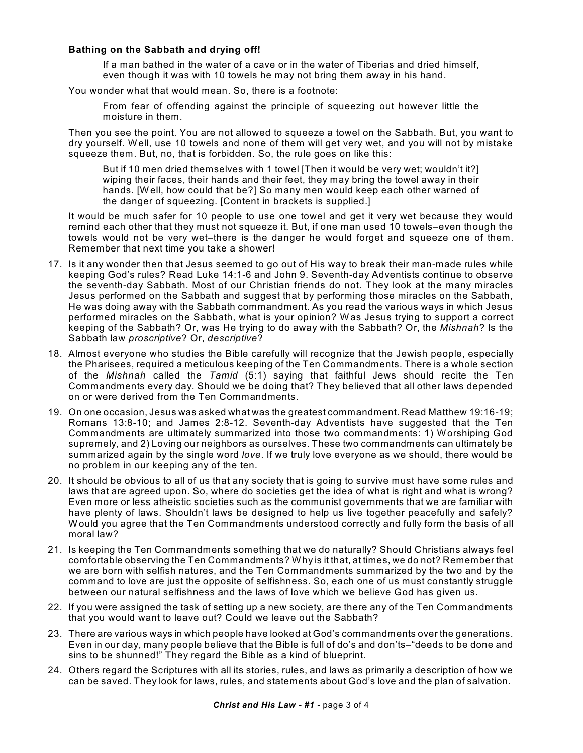## **Bathing on the Sabbath and drying off!**

If a man bathed in the water of a cave or in the water of Tiberias and dried himself, even though it was with 10 towels he may not bring them away in his hand.

You wonder what that would mean. So, there is a footnote:

From fear of offending against the principle of squeezing out however little the moisture in them.

Then you see the point. You are not allowed to squeeze a towel on the Sabbath. But, you want to dry yourself. Well, use 10 towels and none of them will get very wet, and you will not by mistake squeeze them. But, no, that is forbidden. So, the rule goes on like this:

But if 10 men dried themselves with 1 towel [Then it would be very wet; wouldn't it?] wiping their faces, their hands and their feet, they may bring the towel away in their hands. [Well, how could that be?] So many men would keep each other warned of the danger of squeezing. [Content in brackets is supplied.]

It would be much safer for 10 people to use one towel and get it very wet because they would remind each other that they must not squeeze it. But, if one man used 10 towels–even though the towels would not be very wet–there is the danger he would forget and squeeze one of them. Remember that next time you take a shower!

- 17. Is it any wonder then that Jesus seemed to go out of His way to break their man-made rules while keeping God's rules? Read Luke 14:1-6 and John 9. Seventh-day Adventists continue to observe the seventh-day Sabbath. Most of our Christian friends do not. They look at the many miracles Jesus performed on the Sabbath and suggest that by performing those miracles on the Sabbath, He was doing away with the Sabbath commandment. As you read the various ways in which Jesus performed miracles on the Sabbath, what is your opinion? Was Jesus trying to support a correct keeping of the Sabbath? Or, was He trying to do away with the Sabbath? Or, the *Mishnah*? Is the Sabbath law *proscriptive*? Or, *descriptive*?
- 18. Almost everyone who studies the Bible carefully will recognize that the Jewish people, especially the Pharisees, required a meticulous keeping of the Ten Commandments. There is a whole section of the *Mishnah* called the *Tamid* (5:1) saying that faithful Jews should recite the Ten Commandments every day. Should we be doing that? They believed that all other laws depended on or were derived from the Ten Commandments.
- 19. On one occasion, Jesus was asked what was the greatest commandment. Read Matthew 19:16-19; Romans 13:8-10; and James 2:8-12. Seventh-day Adventists have suggested that the Ten Commandments are ultimately summarized into those two commandments: 1) Worshiping God supremely, and 2) Loving our neighbors as ourselves. These two commandments can ultimately be summarized again by the single word *love*. If we truly love everyone as we should, there would be no problem in our keeping any of the ten.
- 20. It should be obvious to all of us that any society that is going to survive must have some rules and laws that are agreed upon. So, where do societies get the idea of what is right and what is wrong? Even more or less atheistic societies such as the communist governments that we are familiar with have plenty of laws. Shouldn't laws be designed to help us live together peacefully and safely? Would you agree that the Ten Commandments understood correctly and fully form the basis of all moral law?
- 21. Is keeping the Ten Commandments something that we do naturally? Should Christians always feel comfortable observing the Ten Commandments? Why is it that, at times, we do not? Remember that we are born with selfish natures, and the Ten Commandments summarized by the two and by the command to love are just the opposite of selfishness. So, each one of us must constantly struggle between our natural selfishness and the laws of love which we believe God has given us.
- 22. If you were assigned the task of setting up a new society, are there any of the Ten Commandments that you would want to leave out? Could we leave out the Sabbath?
- 23. There are various ways in which people have looked at God's commandments over the generations. Even in our day, many people believe that the Bible is full of do's and don'ts–"deeds to be done and sins to be shunned!" They regard the Bible as a kind of blueprint.
- 24. Others regard the Scriptures with all its stories, rules, and laws as primarily a description of how we can be saved. They look for laws, rules, and statements about God's love and the plan of salvation.